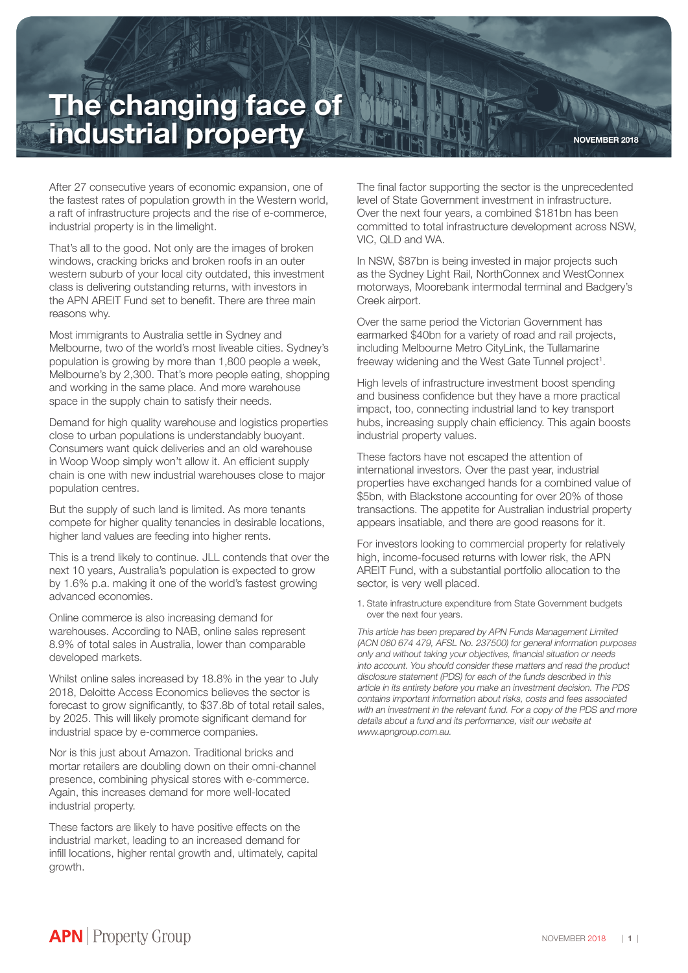## **The changing face of industrial property**

After 27 consecutive years of economic expansion, one of the fastest rates of population growth in the Western world, a raft of infrastructure projects and the rise of e-commerce, industrial property is in the limelight.

That's all to the good. Not only are the images of broken windows, cracking bricks and broken roofs in an outer western suburb of your local city outdated, this investment class is delivering outstanding returns, with investors in the APN AREIT Fund set to benefit. There are three main reasons why.

Most immigrants to Australia settle in Sydney and Melbourne, two of the world's most liveable cities. Sydney's population is growing by more than 1,800 people a week, Melbourne's by 2,300. That's more people eating, shopping and working in the same place. And more warehouse space in the supply chain to satisfy their needs.

Demand for high quality warehouse and logistics properties close to urban populations is understandably buoyant. Consumers want quick deliveries and an old warehouse in Woop Woop simply won't allow it. An efficient supply chain is one with new industrial warehouses close to major population centres.

But the supply of such land is limited. As more tenants compete for higher quality tenancies in desirable locations, higher land values are feeding into higher rents.

This is a trend likely to continue. JLL contends that over the next 10 years, Australia's population is expected to grow by 1.6% p.a. making it one of the world's fastest growing advanced economies.

Online commerce is also increasing demand for warehouses. According to NAB, online sales represent 8.9% of total sales in Australia, lower than comparable developed markets.

Whilst online sales increased by 18.8% in the year to July 2018, Deloitte Access Economics believes the sector is forecast to grow significantly, to \$37.8b of total retail sales, by 2025. This will likely promote significant demand for industrial space by e-commerce companies.

Nor is this just about Amazon. Traditional bricks and mortar retailers are doubling down on their omni-channel presence, combining physical stores with e-commerce. Again, this increases demand for more well-located industrial property.

These factors are likely to have positive effects on the industrial market, leading to an increased demand for infill locations, higher rental growth and, ultimately, capital growth.

The final factor supporting the sector is the unprecedented level of State Government investment in infrastructure. Over the next four years, a combined \$181bn has been committed to total infrastructure development across NSW, VIC, QLD and WA.

In NSW, \$87bn is being invested in major projects such as the Sydney Light Rail, NorthConnex and WestConnex motorways, Moorebank intermodal terminal and Badgery's Creek airport.

Over the same period the Victorian Government has earmarked \$40bn for a variety of road and rail projects, including Melbourne Metro CityLink, the Tullamarine freeway widening and the West Gate Tunnel project<sup>1</sup>.

High levels of infrastructure investment boost spending and business confidence but they have a more practical impact, too, connecting industrial land to key transport hubs, increasing supply chain efficiency. This again boosts industrial property values.

These factors have not escaped the attention of international investors. Over the past year, industrial properties have exchanged hands for a combined value of \$5bn, with Blackstone accounting for over 20% of those transactions. The appetite for Australian industrial property appears insatiable, and there are good reasons for it.

For investors looking to commercial property for relatively high, income-focused returns with lower risk, the APN AREIT Fund, with a substantial portfolio allocation to the sector, is very well placed.

1. State infrastructure expenditure from State Government budgets over the next four years.

This article has been prepared by APN Funds Management Limited (ACN 080 674 479, AFSL No. 237500) for general information purposes only and without taking your objectives, financial situation or needs into account. You should consider these matters and read the product disclosure statement (PDS) for each of the funds described in this article in its entirety before you make an investment decision. The PDS contains important information about risks, costs and fees associated with an investment in the relevant fund. For a copy of the PDS and more details about a fund and its performance, visit our website at www.apngroup.com.au.